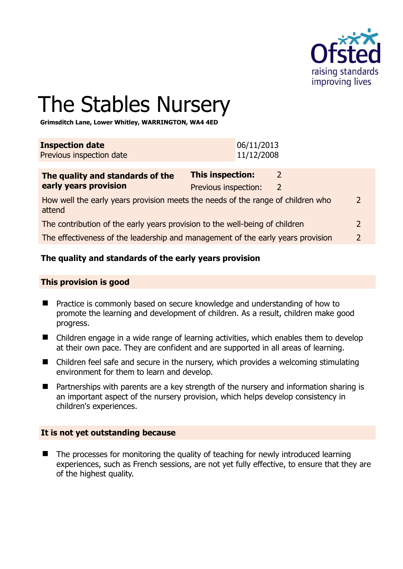

 $\overline{2}$ 

# The Stables Nursery

**Grimsditch Lane, Lower Whitley, WARRINGTON, WA4 4ED** 

| <b>Inspection date</b><br>Previous inspection date                                             | 06/11/2013<br>11/12/2008                                                        |               |
|------------------------------------------------------------------------------------------------|---------------------------------------------------------------------------------|---------------|
| The quality and standards of the<br>early years provision                                      | This inspection:<br>$\mathcal{L}$<br>Previous inspection:<br>$\mathcal{L}$      |               |
| 2<br>How well the early years provision meets the needs of the range of children who<br>attend |                                                                                 |               |
| The contribution of the early years provision to the well-being of children                    |                                                                                 | 2             |
|                                                                                                | The effectiveness of the leadership and management of the early years provision | $\mathcal{P}$ |

#### **The quality and standards of the early years provision**

#### **This provision is good**

- Practice is commonly based on secure knowledge and understanding of how to promote the learning and development of children. As a result, children make good progress.
- Children engage in a wide range of learning activities, which enables them to develop at their own pace. They are confident and are supported in all areas of learning.
- Children feel safe and secure in the nursery, which provides a welcoming stimulating environment for them to learn and develop.
- Partnerships with parents are a key strength of the nursery and information sharing is an important aspect of the nursery provision, which helps develop consistency in children's experiences.

#### **It is not yet outstanding because**

 $\blacksquare$  The processes for monitoring the quality of teaching for newly introduced learning experiences, such as French sessions, are not yet fully effective, to ensure that they are of the highest quality.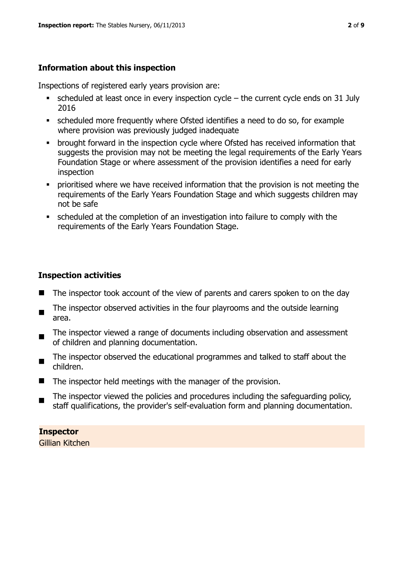# **Information about this inspection**

Inspections of registered early years provision are:

- scheduled at least once in every inspection cycle the current cycle ends on 31 July 2016
- scheduled more frequently where Ofsted identifies a need to do so, for example where provision was previously judged inadequate
- **•** brought forward in the inspection cycle where Ofsted has received information that suggests the provision may not be meeting the legal requirements of the Early Years Foundation Stage or where assessment of the provision identifies a need for early inspection
- **•** prioritised where we have received information that the provision is not meeting the requirements of the Early Years Foundation Stage and which suggests children may not be safe
- scheduled at the completion of an investigation into failure to comply with the requirements of the Early Years Foundation Stage.

# **Inspection activities**

- The inspector took account of the view of parents and carers spoken to on the day
- $\sim$ The inspector observed activities in the four playrooms and the outside learning area.
- The inspector viewed a range of documents including observation and assessment of children and planning documentation.
- $\blacksquare$ The inspector observed the educational programmes and talked to staff about the children.
- $\blacksquare$  The inspector held meetings with the manager of the provision.
- п The inspector viewed the policies and procedures including the safeguarding policy, staff qualifications, the provider's self-evaluation form and planning documentation.

**Inspector**  Gillian Kitchen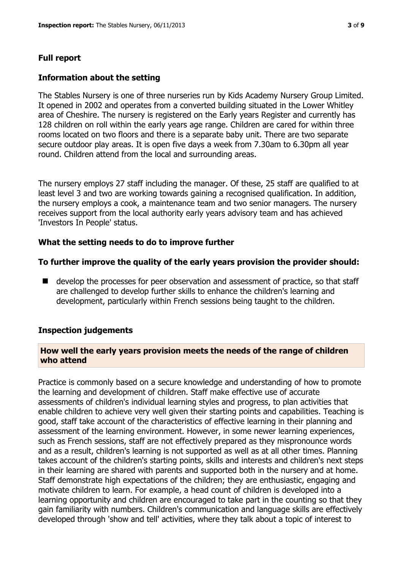#### **Full report**

#### **Information about the setting**

The Stables Nursery is one of three nurseries run by Kids Academy Nursery Group Limited. It opened in 2002 and operates from a converted building situated in the Lower Whitley area of Cheshire. The nursery is registered on the Early years Register and currently has 128 children on roll within the early years age range. Children are cared for within three rooms located on two floors and there is a separate baby unit. There are two separate secure outdoor play areas. It is open five days a week from 7.30am to 6.30pm all year round. Children attend from the local and surrounding areas.

The nursery employs 27 staff including the manager. Of these, 25 staff are qualified to at least level 3 and two are working towards gaining a recognised qualification. In addition, the nursery employs a cook, a maintenance team and two senior managers. The nursery receives support from the local authority early years advisory team and has achieved 'Investors In People' status.

#### **What the setting needs to do to improve further**

#### **To further improve the quality of the early years provision the provider should:**

 $\blacksquare$  develop the processes for peer observation and assessment of practice, so that staff are challenged to develop further skills to enhance the children's learning and development, particularly within French sessions being taught to the children.

#### **Inspection judgements**

#### **How well the early years provision meets the needs of the range of children who attend**

Practice is commonly based on a secure knowledge and understanding of how to promote the learning and development of children. Staff make effective use of accurate assessments of children's individual learning styles and progress, to plan activities that enable children to achieve very well given their starting points and capabilities. Teaching is good, staff take account of the characteristics of effective learning in their planning and assessment of the learning environment. However, in some newer learning experiences, such as French sessions, staff are not effectively prepared as they mispronounce words and as a result, children's learning is not supported as well as at all other times. Planning takes account of the children's starting points, skills and interests and children's next steps in their learning are shared with parents and supported both in the nursery and at home. Staff demonstrate high expectations of the children; they are enthusiastic, engaging and motivate children to learn. For example, a head count of children is developed into a learning opportunity and children are encouraged to take part in the counting so that they gain familiarity with numbers. Children's communication and language skills are effectively developed through 'show and tell' activities, where they talk about a topic of interest to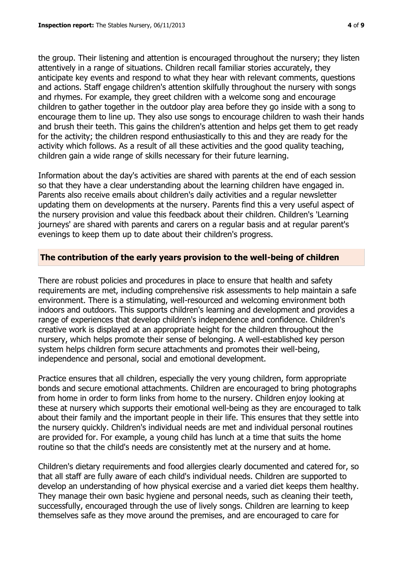the group. Their listening and attention is encouraged throughout the nursery; they listen attentively in a range of situations. Children recall familiar stories accurately, they anticipate key events and respond to what they hear with relevant comments, questions and actions. Staff engage children's attention skilfully throughout the nursery with songs and rhymes. For example, they greet children with a welcome song and encourage children to gather together in the outdoor play area before they go inside with a song to encourage them to line up. They also use songs to encourage children to wash their hands and brush their teeth. This gains the children's attention and helps get them to get ready for the activity; the children respond enthusiastically to this and they are ready for the activity which follows. As a result of all these activities and the good quality teaching, children gain a wide range of skills necessary for their future learning.

Information about the day's activities are shared with parents at the end of each session so that they have a clear understanding about the learning children have engaged in. Parents also receive emails about children's daily activities and a regular newsletter updating them on developments at the nursery. Parents find this a very useful aspect of the nursery provision and value this feedback about their children. Children's 'Learning journeys' are shared with parents and carers on a regular basis and at regular parent's evenings to keep them up to date about their children's progress.

## **The contribution of the early years provision to the well-being of children**

There are robust policies and procedures in place to ensure that health and safety requirements are met, including comprehensive risk assessments to help maintain a safe environment. There is a stimulating, well-resourced and welcoming environment both indoors and outdoors. This supports children's learning and development and provides a range of experiences that develop children's independence and confidence. Children's creative work is displayed at an appropriate height for the children throughout the nursery, which helps promote their sense of belonging. A well-established key person system helps children form secure attachments and promotes their well-being, independence and personal, social and emotional development.

Practice ensures that all children, especially the very young children, form appropriate bonds and secure emotional attachments. Children are encouraged to bring photographs from home in order to form links from home to the nursery. Children enjoy looking at these at nursery which supports their emotional well-being as they are encouraged to talk about their family and the important people in their life. This ensures that they settle into the nursery quickly. Children's individual needs are met and individual personal routines are provided for. For example, a young child has lunch at a time that suits the home routine so that the child's needs are consistently met at the nursery and at home.

Children's dietary requirements and food allergies clearly documented and catered for, so that all staff are fully aware of each child's individual needs. Children are supported to develop an understanding of how physical exercise and a varied diet keeps them healthy. They manage their own basic hygiene and personal needs, such as cleaning their teeth, successfully, encouraged through the use of lively songs. Children are learning to keep themselves safe as they move around the premises, and are encouraged to care for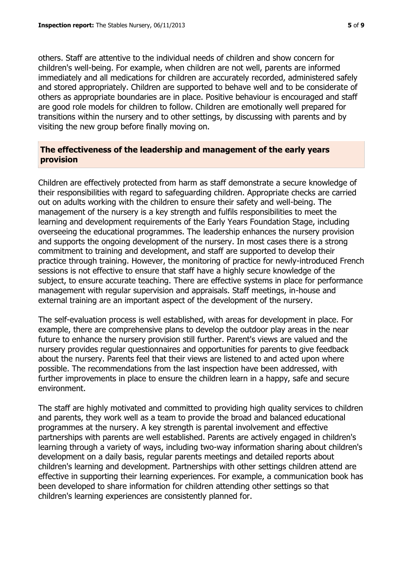others. Staff are attentive to the individual needs of children and show concern for children's well-being. For example, when children are not well, parents are informed immediately and all medications for children are accurately recorded, administered safely and stored appropriately. Children are supported to behave well and to be considerate of others as appropriate boundaries are in place. Positive behaviour is encouraged and staff are good role models for children to follow. Children are emotionally well prepared for transitions within the nursery and to other settings, by discussing with parents and by visiting the new group before finally moving on.

# **The effectiveness of the leadership and management of the early years provision**

Children are effectively protected from harm as staff demonstrate a secure knowledge of their responsibilities with regard to safeguarding children. Appropriate checks are carried out on adults working with the children to ensure their safety and well-being. The management of the nursery is a key strength and fulfils responsibilities to meet the learning and development requirements of the Early Years Foundation Stage, including overseeing the educational programmes. The leadership enhances the nursery provision and supports the ongoing development of the nursery. In most cases there is a strong commitment to training and development, and staff are supported to develop their practice through training. However, the monitoring of practice for newly-introduced French sessions is not effective to ensure that staff have a highly secure knowledge of the subject, to ensure accurate teaching. There are effective systems in place for performance management with regular supervision and appraisals. Staff meetings, in-house and external training are an important aspect of the development of the nursery.

The self-evaluation process is well established, with areas for development in place. For example, there are comprehensive plans to develop the outdoor play areas in the near future to enhance the nursery provision still further. Parent's views are valued and the nursery provides regular questionnaires and opportunities for parents to give feedback about the nursery. Parents feel that their views are listened to and acted upon where possible. The recommendations from the last inspection have been addressed, with further improvements in place to ensure the children learn in a happy, safe and secure environment.

The staff are highly motivated and committed to providing high quality services to children and parents, they work well as a team to provide the broad and balanced educational programmes at the nursery. A key strength is parental involvement and effective partnerships with parents are well established. Parents are actively engaged in children's learning through a variety of ways, including two-way information sharing about children's development on a daily basis, regular parents meetings and detailed reports about children's learning and development. Partnerships with other settings children attend are effective in supporting their learning experiences. For example, a communication book has been developed to share information for children attending other settings so that children's learning experiences are consistently planned for.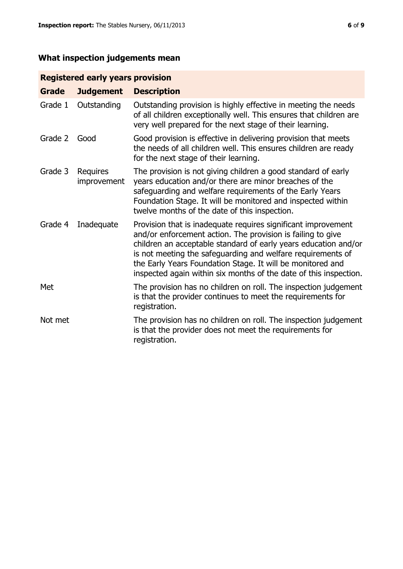# **What inspection judgements mean**

# **Registered early years provision**

| <b>Grade</b> | <b>Judgement</b>        | <b>Description</b>                                                                                                                                                                                                                                                                                                                                                                                |
|--------------|-------------------------|---------------------------------------------------------------------------------------------------------------------------------------------------------------------------------------------------------------------------------------------------------------------------------------------------------------------------------------------------------------------------------------------------|
| Grade 1      | Outstanding             | Outstanding provision is highly effective in meeting the needs<br>of all children exceptionally well. This ensures that children are<br>very well prepared for the next stage of their learning.                                                                                                                                                                                                  |
| Grade 2      | Good                    | Good provision is effective in delivering provision that meets<br>the needs of all children well. This ensures children are ready<br>for the next stage of their learning.                                                                                                                                                                                                                        |
| Grade 3      | Requires<br>improvement | The provision is not giving children a good standard of early<br>years education and/or there are minor breaches of the<br>safeguarding and welfare requirements of the Early Years<br>Foundation Stage. It will be monitored and inspected within<br>twelve months of the date of this inspection.                                                                                               |
| Grade 4      | Inadequate              | Provision that is inadequate requires significant improvement<br>and/or enforcement action. The provision is failing to give<br>children an acceptable standard of early years education and/or<br>is not meeting the safeguarding and welfare requirements of<br>the Early Years Foundation Stage. It will be monitored and<br>inspected again within six months of the date of this inspection. |
| Met          |                         | The provision has no children on roll. The inspection judgement<br>is that the provider continues to meet the requirements for<br>registration.                                                                                                                                                                                                                                                   |
| Not met      |                         | The provision has no children on roll. The inspection judgement<br>is that the provider does not meet the requirements for<br>registration.                                                                                                                                                                                                                                                       |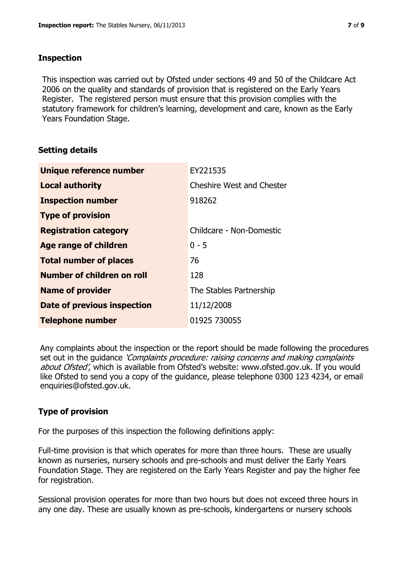## **Inspection**

This inspection was carried out by Ofsted under sections 49 and 50 of the Childcare Act 2006 on the quality and standards of provision that is registered on the Early Years Register. The registered person must ensure that this provision complies with the statutory framework for children's learning, development and care, known as the Early Years Foundation Stage.

## **Setting details**

| Unique reference number       | EY221535                         |
|-------------------------------|----------------------------------|
| <b>Local authority</b>        | <b>Cheshire West and Chester</b> |
| <b>Inspection number</b>      | 918262                           |
| <b>Type of provision</b>      |                                  |
| <b>Registration category</b>  | Childcare - Non-Domestic         |
| <b>Age range of children</b>  | $0 - 5$                          |
| <b>Total number of places</b> | 76                               |
| Number of children on roll    | 128                              |
| <b>Name of provider</b>       | The Stables Partnership          |
| Date of previous inspection   | 11/12/2008                       |
| <b>Telephone number</b>       | 01925 730055                     |

Any complaints about the inspection or the report should be made following the procedures set out in the guidance *'Complaints procedure: raising concerns and making complaints* about Ofsted', which is available from Ofsted's website: www.ofsted.gov.uk. If you would like Ofsted to send you a copy of the guidance, please telephone 0300 123 4234, or email enquiries@ofsted.gov.uk.

# **Type of provision**

For the purposes of this inspection the following definitions apply:

Full-time provision is that which operates for more than three hours. These are usually known as nurseries, nursery schools and pre-schools and must deliver the Early Years Foundation Stage. They are registered on the Early Years Register and pay the higher fee for registration.

Sessional provision operates for more than two hours but does not exceed three hours in any one day. These are usually known as pre-schools, kindergartens or nursery schools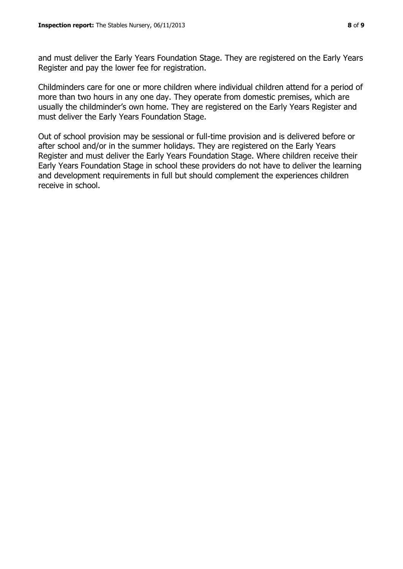and must deliver the Early Years Foundation Stage. They are registered on the Early Years Register and pay the lower fee for registration.

Childminders care for one or more children where individual children attend for a period of more than two hours in any one day. They operate from domestic premises, which are usually the childminder's own home. They are registered on the Early Years Register and must deliver the Early Years Foundation Stage.

Out of school provision may be sessional or full-time provision and is delivered before or after school and/or in the summer holidays. They are registered on the Early Years Register and must deliver the Early Years Foundation Stage. Where children receive their Early Years Foundation Stage in school these providers do not have to deliver the learning and development requirements in full but should complement the experiences children receive in school.